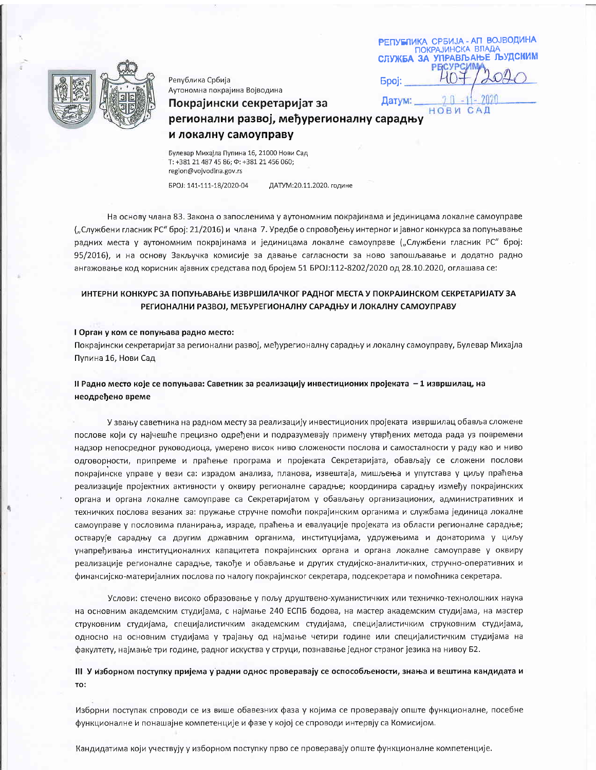|              | РЕПУБЛИКА СРБИЈА - АП ВОЈВОДИНА<br><b>ПОКРАЈИНСКА ВЛАДА</b><br>СЛУЖБА ЗА УПРАВЉАЊЕ ЉУДСКИМ |
|--------------|--------------------------------------------------------------------------------------------|
| <b>Epoj:</b> | 040                                                                                        |
| Датум:       |                                                                                            |

CAL

HOBW



Република Србија Аутономна покрајина Војводина

# Покрајински секретаријат за регионални развој, међурегионалну сарадњу

## и локалну самоуправу

Булевар Михајла Пупина 16, 21000 Нови Сад T: +381 21 487 45 86;  $\Phi$ : +381 21 456 060; region@vojvodina.gov.rs

EPOJ: 141-111-18/2020-04

ДАТУМ:20.11.2020. године

На основу члана 83. Закона о запосленима у аутономним покрајинама и јединицама локалне самоуправе ("Службени гласник РС" број: 21/2016) и члана 7. Уредбе о спровођењу интерног и јавног конкурса за попуњавање радних места у аутономним покрајинама и јединицама локалне самоуправе ("Службени гласник РС" број: 95/2016), и на основу Закључка комисије за давање сагласности за ново запошљавање и додатно радно ангажовање код корисник ајавних средстава под бројем 51 БРОЈ:112-8202/2020 од 28.10.2020, оглашава се:

# ИНТЕРНИ КОНКУРС ЗА ПОПУЊАВАЊЕ ИЗВРШИЛАЧКОГ РАДНОГ МЕСТА У ПОКРАЈИНСКОМ СЕКРЕТАРИЈАТУ ЗА РЕГИОНАЛНИ РАЗВОЈ, МЕЂУРЕГИОНАЛНУ САРАДЊУ И ЛОКАЛНУ САМОУПРАВУ

## I Орган у ком се попуњава радно место:

Покрајински секретаријат за регионални развој, међурегионалну сарадњу и локалну самоуправу, Булевар Михајла Пупина 16, Нови Сад

## II Радно место које се попуњава: Саветник за реализацију инвестиционих пројеката - 1 извршилац, на неодређено време

У звању саветника на радном месту за реализацију инвестиционих пројеката извршилац обавља сложене послове који су најчешће прецизно одређени и подразумевају примену утврђених метода рада уз повремени надзор непосредног руководиоца, умерено висок ниво сложености послова и самосталности у раду као и ниво одговорности, припреме и праћење програма и пројеката Секретаријата, обављају се сложени послови покрајинске управе у вези са: израдом анализа, планова, извештаја, мишљења и упутстава у циљу праћења реализације пројектних активности у оквиру регионалне сарадње; координира сарадњу између покрајинских органа и органа локалне самоуправе са Секретаријатом у обављању организационих, административних и техничких послова везаних за: пружање стручне помоћи покрајинским органима и службама јединица локалне самоуправе у пословима планирања, израде, праћења и евалуације пројеката из области регионалне сарадње; остварује сарадњу са другим државним органима, институцијама, удружењима и донаторима у циљу унапређивања институционалних капацитета покрајинских органа и органа локалне самоуправе у оквиру реализације регионалне сарадње, такође и обављање и других студијско-аналитичких, стручно-оперативних и финансијско-материјалних послова по налогу покрајинског секретара, подсекретара и помоћника секретара.

Услови: стечено високо образовање у пољу друштвено-хуманистичких или техничко-технолошких наука на основним академским студијама, с најмање 240 ЕСПБ бодова, на мастер академским студијама, на мастер струковним студијама, специјалистичким академским студијама, специјалистичким струковним студијама, односно на основним студијама у трајању од најмање четири године или специјалистичким студијама на факултету, најмање три године, радног искуства у струци, познавање једног страног језика на нивоу Б2.

## III У изборном поступку пријема у радни однос проверавају се оспособљености, знања и вештина кандидата и TO:

Изборни поступак спроводи се из више обавезних фаза у којима се проверавају опште функционалне, посебне функционалне и понашајне компетенције и фазе у којој се спроводи интервју са Комисијом.

Кандидатима који учествују у изборном поступку прво се проверавају опште функционалне компетенције.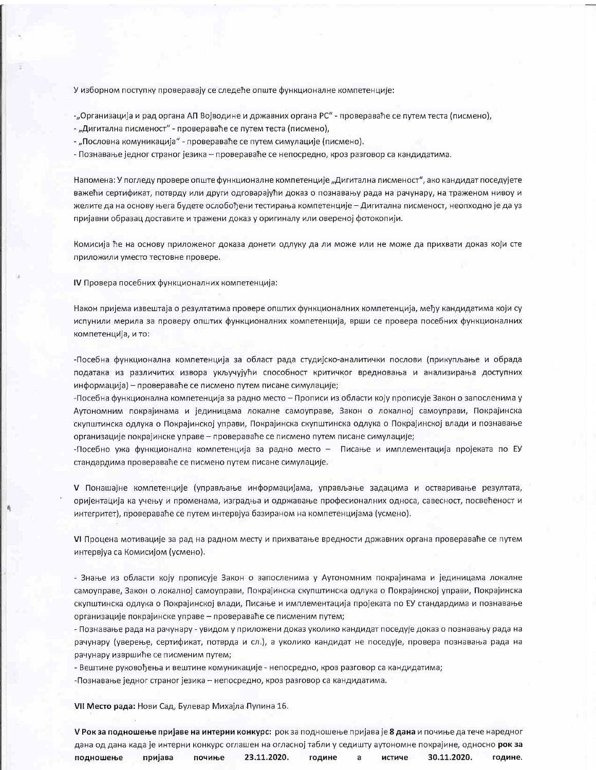У изборном поступку проверавају се следеће опште функционалне компетенције:

-"Организација и рад органа АП Војводине и државних органа РС" - провераваће се путем теста (писмено),

- "Дигитална писменост" - провераваће се путем теста (писмено),

- "Пословна комуникација" - провераваће се путем симулације (писмено).

- Познавање једног страног језика - провераваће се непосредно, кроз разговор са кандидатима.

Напомена: У погледу провере опште функционалне компетенције "Дигитална писменост", ако кандидат поседујете важећи сертификат, потврду или други одговарајући доказ о познавању рада на рачунару, на траженом нивоу и желите да на основу њега будете ослобођени тестирања компетенције – Дигитална писменост, неопходно је да уз пријавни образац доставите и тражени доказ у оригиналу или овереној фотокопији.

Комисија ће на основу приложеног доказа донети одлуку да ли може или не може да прихвати доказ који сте приложили уместо тестовне провере.

IV Провера посебних функционалних компетенција:

Након пријема извештаја о резултатима провере општих функционалних компетенција, међу кандидатима који су испунили мерила за проверу општих функционалних компетенција, врши се провера посебних функционалних компетенција, и то:

-Посебна функционална компетенција за област рада студијско-аналитички послови (прикупљање и обрада података из различитих извора укључујући способност критичког вредновања и анализирања доступних информација) - провераваће се писмено путем писане симулације;

-Посебна функционална компетенција за радно место – Прописи из области коју прописује Закон о запосленима у Аутономним покрајинама и јединицама локалне самоуправе, Закон о локалној самоуправи, Покрајинска скупштинска одлука о Покрајинској управи, Покрајинска скупштинска одлука о Покрајинској влади и познавање организације покрајинске управе – провераваће се писмено путем писане симулације;

-Посебно ужа функционална компетенција за радно место - Писање и имплементација пројеката по ЕУ стандардима провераваће се писмено путем писане симулације.

V Понашајне компетенције (управљање информацијама, управљање задацима и остваривање резултата, оријентација ка учењу и променама, изградња и одржавање професионалних односа, савесност, посвећеност и интегритет), провераваће се путем интервјуа базираном на компетенцијама (усмено).

VI Процена мотивације за рад на радном месту и прихватање вредности државних органа провераваће се путем интервјуа са Комисијом (усмено).

- Знање из области коју прописује Закон о запосленима у Аутономним покрајинама и јединицама локалне самоуправе, Закон о локалној самоуправи, Покрајинска скупштинска одлука о Покрајинској управи, Покрајинска скупштинска одлука о Покрајинској влади, Писање и имплементација пројеката по ЕУ стандардима и познавање организације покрајинске управе - провераваће се писменим путем;

- Познавање рада на рачунару - увидом у приложени доказ уколико кандидат поседује доказ о познавању рада на рачунару (уверење, сертификат, потврда и сл.), а уколико кандидат не поседује, провера познавања рада на рачунару извршиће се писменим путем;

- Вештине руковођења и вештине комуникације - непосредно, кроз разговор са кандидатима;

-Познавање једног страног језика - непосредно, кроз разговор са кандидатима.

VII Место рада: Нови Сад, Булевар Михајла Пупина 16.

V Рок за подношење пријаве на интерни конкурс: рок за подношење пријава је 8 дана и почиње да тече наредног дана од дана када је интерни конкурс оглашен на огласној табли у седишту аутономне покрајине, односно рок за подношење пријава почиње 23.11.2020. године a истиче 30.11.2020. године.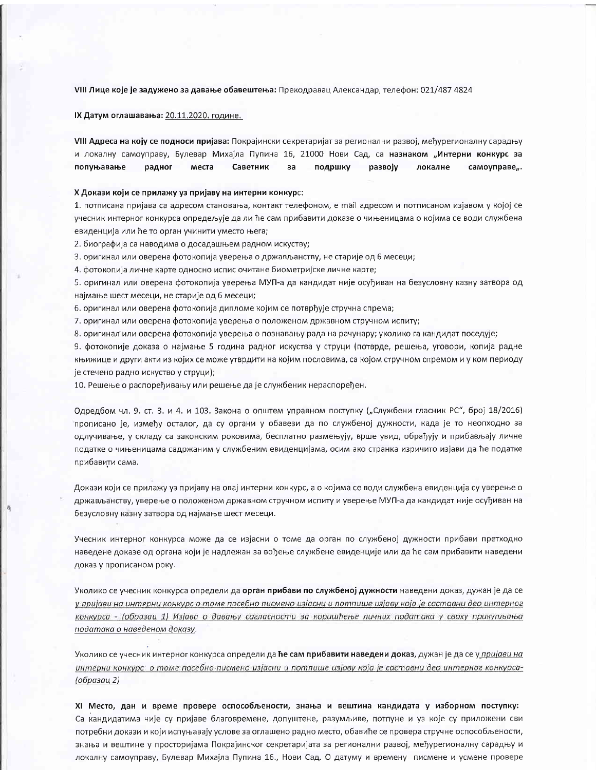VIII Лице које је задужено за давање обавештења: Прекодравац Александар, телефон: 021/487 4824

IX Датум оглашавања: 20.11.2020. године.

VIII Адреса на коју се подноси пријава: Покрајински секретаријат за регионални развој, међурегионалну сарадњу и локалну самоуправу, Булевар Михајла Пупина 16, 21000 Нови Сад, са назнаком "Интерни конкурс за попуњавање радног места Саветник за подршку развоју локалне самоуправе,.

#### Х Докази који се прилажу уз пријаву на интерни конкурс:

1. потписана пријава са адресом становања, контакт телефоном, е mail адресом и потписаном изјавом у којој се учесник интерног конкурса опредељује да ли ће сам прибавити доказе о чињеницама о којима се води службена евиденција или ће то орган учинити уместо њега;

2. биографија са наводима о досадашњем радном искуству;

3. оригинал или оверена фотокопија уверења о држављанству, не старије од 6 месеци;

4. фотокопија личне карте односно испис очитане биометријске личне карте;

5. оригинал или оверена фотокопија уверења МУП-а да кандидат није осуђиван на безусловну казну затвора од најмање шест месеци, не старије од 6 месеци;

6. оригинал или оверена фотокопија дипломе којим се потврђује стручна спрема;

7. оригинал или оверена фотокопија уверења о положеном државном стручном испиту;

8. оригинал или оверена фотокопија уверења о познавању рада на рачунару; уколико га кандидат поседује;

9. фотокопије доказа о најмање 5 година радног искуства у струци (потврде, решења, уговори, копија радне књижице и други акти из којих се може утврдити на којим пословима, са којом стручном спремом и у ком периоду је стечено радно искуство у струци);

10. Решење о распоређивању или решење да је службеник нераспоређен.

Одредбом чл. 9. ст. 3. и 4. и 103. Закона о општем управном поступку ("Службени гласник РС", број 18/2016) прописано је, између осталог, да су органи у обавези да по службеној дужности, када је то неопходно за одлучивање, у складу са законским роковима, бесплатно размењују, врше увид, обрађују и прибављају личне податке о чињеницама садржаним у службеним евиденцијама, осим ако странка изричито изјави да ће податке прибавити сама.

Докази који се прилажу уз пријаву на овај интерни конкурс, а о којима се води службена евиденција су уверење о држављанству, уверење о положеном државном стручном испиту и уверење МУП-а да кандидат није осуђиван на безусловну казну затвора од најмање шест месеци.

Учесник интерног конкурса може да се изјасни о томе да орган по службеној дужности прибави претходно наведене доказе од органа који је надлежан за вођење службене евиденције или да ће сам прибавити наведени доказ у прописаном року.

Уколико се учесник конкурса определи да орган прибави по службеној дужности наведени доказ, дужан је да се у пријави на интерни конкурс о томе посебно писмено изјасни и потпише изјаву која је саставни део интерног конкурса - (образац 1) Изјава о давању сагласности за коришћење личних података у сврху прикупљања података о наведеном доказу.

Уколико се учесник интерног конкурса определи да ће сам прибавити наведени доказ, дужан је да се у пријави на интерни конкурс о томе посебно писмено изјасни и потпише изјаву која је саставни део интерног конкурса-<u>(образац 2)</u>

XI Место, дан и време провере оспособљености, знања и вештина кандидата у изборном поступку: Са кандидатима чије су пријаве благовремене, допуштене, разумљиве, потпуне и уз које су приложени сви потребни докази и који испуњавају услове за оглашено радно место, обавиће се провера стручне оспособљености, знања и вештине у просторијама Покрајинског секретаријата за регионални развој, међурегионалну сарадњу и локалну самоуправу, Булевар Михајла Пупина 16., Нови Сад. О датуму и времену писмене и усмене провере